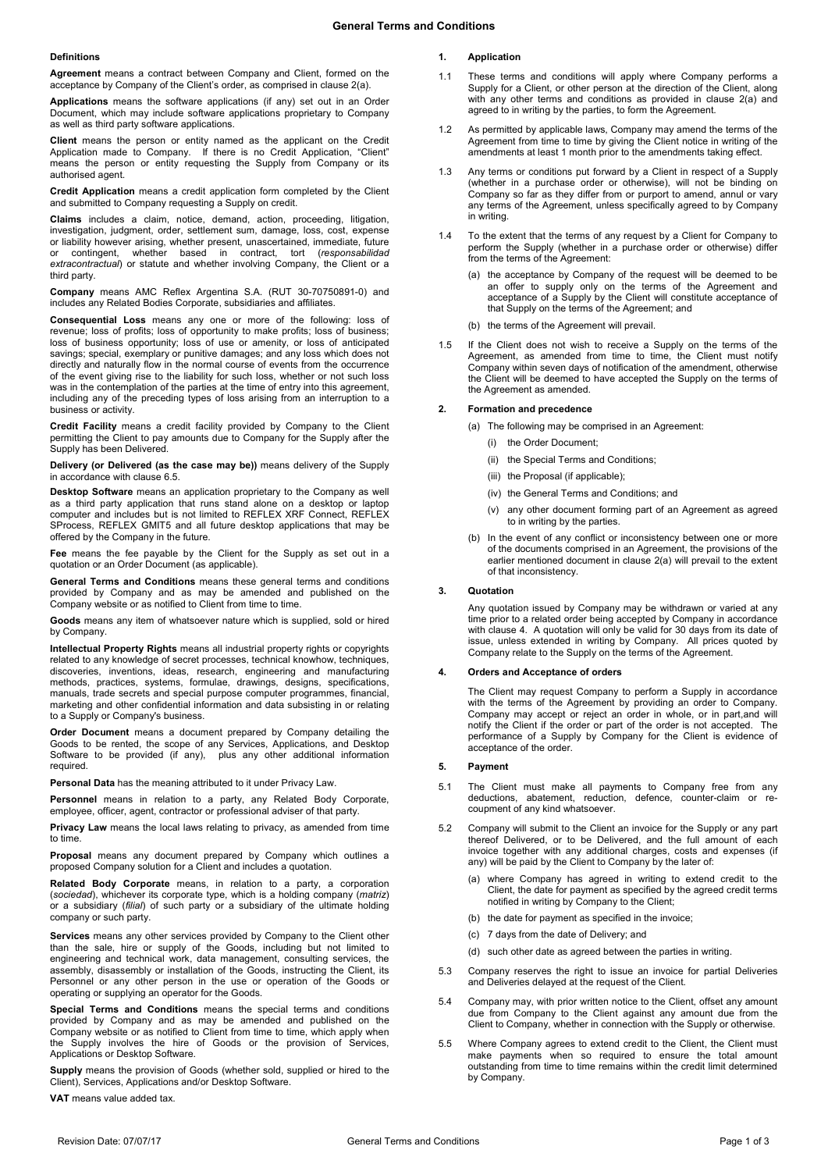#### **Definitions**

**Agreement** means a contract between Company and Client, formed on the acceptance by Company of the Client's order, as comprised in claus[e 2\(a\).](#page-0-0)

**Applications** means the software applications (if any) set out in an Order Document, which may include software applications proprietary to Company as well as third party software applications.

**Client** means the person or entity named as the applicant on the Credit Application made to Company. If there is no Credit Application, "Client" means the person or entity requesting the Supply from Company or its authorised agent.

**Credit Application** means a credit application form completed by the Client and submitted to Company requesting a Supply on credit.

**Claims** includes a claim, notice, demand, action, proceeding, litigation, investigation, judgment, order, settlement sum, damage, loss, cost, expense or liability however arising, whether present, unascertained, immediate, future or contingent, whether based in contract, tort (*responsabilidad extracontractual*) or statute and whether involving Company, the Client or a third party.

**Company** means AMC Reflex Argentina S.A. (RUT 30-70750891-0) and includes any Related Bodies Corporate, subsidiaries and affiliates.

**Consequential Loss** means any one or more of the following: loss of revenue; loss of profits; loss of opportunity to make profits; loss of business; loss of business opportunity; loss of use or amenity, or loss of anticipated savings; special, exemplary or punitive damages; and any loss which does not directly and naturally flow in the normal course of events from the occurrence of the event giving rise to the liability for such loss, whether or not such loss was in the contemplation of the parties at the time of entry into this agreement, including any of the preceding types of loss arising from an interruption to a business or activity.

**Credit Facility** means a credit facility provided by Company to the Client permitting the Client to pay amounts due to Company for the Supply after the Supply has been Delivered.

**Delivery (or Delivered (as the case may be))** means delivery of the Supply in accordance with claus[e 6.5.](#page-1-0)

**Desktop Software** means an application proprietary to the Company as well as a third party application that runs stand alone on a desktop or laptop computer and includes but is not limited to REFLEX XRF Connect, REFLEX SProcess, REFLEX GMIT5 and all future desktop applications that may be offered by the Company in the future.

**Fee** means the fee payable by the Client for the Supply as set out in a quotation or an Order Document (as applicable).

**General Terms and Conditions** means these general terms and conditions provided by Company and as may be amended and published on the Company website or as notified to Client from time to time.

**Goods** means any item of whatsoever nature which is supplied, sold or hired by Company.

**Intellectual Property Rights** means all industrial property rights or copyrights related to any knowledge of secret processes, technical knowhow, techniques, discoveries, inventions, ideas, research, engineering and manufacturing methods, practices, systems, formulae, drawings, designs, specifications, manuals, trade secrets and special purpose computer programmes, financial, marketing and other confidential information and data subsisting in or relating to a Supply or Company's business.

**Order Document** means a document prepared by Company detailing the Goods to be rented, the scope of any Services, Applications, and Desktop Software to be provided (if any), plus any other additional information required.

**Personal Data** has the meaning attributed to it under Privacy Law.

**Personnel** means in relation to a party, any Related Body Corporate, employee, officer, agent, contractor or professional adviser of that party.

**Privacy Law** means the local laws relating to privacy, as amended from time to time.

**Proposal** means any document prepared by Company which outlines a proposed Company solution for a Client and includes a quotation.

**Related Body Corporate** means, in relation to a party, a corporation (*sociedad*), whichever its corporate type, which is a holding company (*matriz*) or a subsidiary (*filial*) of such party or a subsidiary of the ultimate holding company or such party.

**Services** means any other services provided by Company to the Client other than the sale, hire or supply of the Goods, including but not limited to engineering and technical work, data management, consulting services, the assembly, disassembly or installation of the Goods, instructing the Client, its Personnel or any other person in the use or operation of the Goods or operating or supplying an operator for the Goods.

**Special Terms and Conditions** means the special terms and conditions provided by Company and as may be amended and published on the Company website or as notified to Client from time to time, which apply when the Supply involves the hire of Goods or the provision of Services, Applications or Desktop Software.

**Supply** means the provision of Goods (whether sold, supplied or hired to the Client), Services, Applications and/or Desktop Software.

**VAT** means value added tax.

# **1. Application**

- 1.1 These terms and conditions will apply where Company performs a Supply for a Client, or other person at the direction of the Client, along with any other terms and conditions as provided in clause 2(a) and agreed to in writing by the parties, to form the Agreement.
- 1.2 As permitted by applicable laws, Company may amend the terms of the Agreement from time to time by giving the Client notice in writing of the amendments at least 1 month prior to the amendments taking effect.
- 1.3 Any terms or conditions put forward by a Client in respect of a Supply (whether in a purchase order or otherwise), will not be binding on Company so far as they differ from or purport to amend, annul or vary any terms of the Agreement, unless specifically agreed to by Company in writing.
- 1.4 To the extent that the terms of any request by a Client for Company to perform the Supply (whether in a purchase order or otherwise) differ from the terms of the Agreement:
	- (a) the acceptance by Company of the request will be deemed to be an offer to supply only on the terms of the Agreement and acceptance of a Supply by the Client will constitute acceptance of that Supply on the terms of the Agreement; and
	- (b) the terms of the Agreement will prevail
- 1.5 If the Client does not wish to receive a Supply on the terms of the Agreement, as amended from time to time, the Client must notify Company within seven days of notification of the amendment, otherwise the Client will be deemed to have accepted the Supply on the terms of the Agreement as amended.

#### <span id="page-0-0"></span>**2. Formation and precedence**

- (a) The following may be comprised in an Agreement:
	- (i) the Order Document;
	- (ii) the Special Terms and Conditions;
	- (iii) the Proposal (if applicable);
	- (iv) the General Terms and Conditions; and
	- (v) any other document forming part of an Agreement as agreed to in writing by the parties.
- (b) In the event of any conflict or inconsistency between one or more of the documents comprised in an Agreement, the provisions of the earlier mentioned document in clause [2\(a\)](#page-0-0) will prevail to the extent of that inconsistency.

### **3. Quotation**

Any quotation issued by Company may be withdrawn or varied at any time prior to a related order being accepted by Company in accordance with claus[e 4.](#page-0-1) A quotation will only be valid for 30 days from its date of issue, unless extended in writing by Company. All prices quoted by Company relate to the Supply on the terms of the Agreement.

#### <span id="page-0-1"></span>**4. Orders and Acceptance of orders**

The Client may request Company to perform a Supply in accordance with the terms of the Agreement by providing an order to Company. Company may accept or reject an order in whole, or in part,and will notify the Client if the order or part of the order is not accepted. The performance of a Supply by Company for the Client is evidence of acceptance of the order.

#### **5. Payment**

- 5.1 The Client must make all payments to Company free from any deductions, abatement, reduction, defence, counter-claim or recoupment of any kind whatsoever.
- 5.2 Company will submit to the Client an invoice for the Supply or any part thereof Delivered, or to be Delivered, and the full amount of each invoice together with any additional charges, costs and expenses (if any) will be paid by the Client to Company by the later of:
	- (a) where Company has agreed in writing to extend credit to the Client, the date for payment as specified by the agreed credit terms notified in writing by Company to the Client;
	- (b) the date for payment as specified in the invoice;
	- (c) 7 days from the date of Delivery; and
	- (d) such other date as agreed between the parties in writing.
- 5.3 Company reserves the right to issue an invoice for partial Deliveries and Deliveries delayed at the request of the Client.
- 5.4 Company may, with prior written notice to the Client, offset any amount due from Company to the Client against any amount due from the Client to Company, whether in connection with the Supply or otherwise.
- 5.5 Where Company agrees to extend credit to the Client, the Client must make payments when so required to ensure the total amount outstanding from time to time remains within the credit limit determined by Company.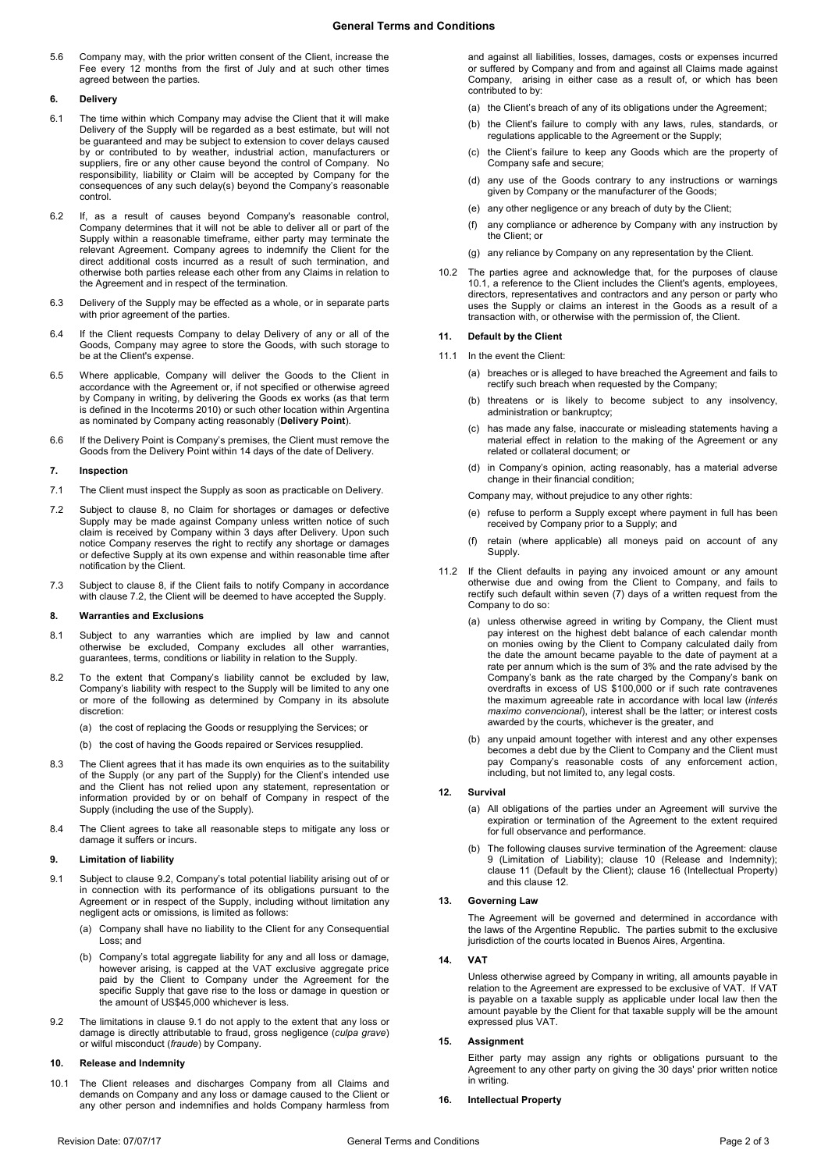5.6 Company may, with the prior written consent of the Client, increase the Fee every 12 months from the first of July and at such other times agreed between the parties.

### **6. Delivery**

- 6.1 The time within which Company may advise the Client that it will make Delivery of the Supply will be regarded as a best estimate, but will not be guaranteed and may be subject to extension to cover delays caused by or contributed to by weather, industrial action, manufacturers or suppliers, fire or any other cause beyond the control of Company. No responsibility, liability or Claim will be accepted by Company for the consequences of any such delay(s) beyond the Company's reasonable control.
- 6.2 If, as a result of causes beyond Company's reasonable control, Company determines that it will not be able to deliver all or part of the Supply within a reasonable timeframe, either party may terminate the relevant Agreement. Company agrees to indemnify the Client for the direct additional costs incurred as a result of such termination, and otherwise both parties release each other from any Claims in relation to the Agreement and in respect of the termination.
- 6.3 Delivery of the Supply may be effected as a whole, or in separate parts with prior agreement of the parties
- 6.4 If the Client requests Company to delay Delivery of any or all of the Goods, Company may agree to store the Goods, with such storage to be at the Client's expense.
- <span id="page-1-0"></span>6.5 Where applicable, Company will deliver the Goods to the Client in accordance with the Agreement or, if not specified or otherwise agreed by Company in writing, by delivering the Goods ex works (as that term is defined in the Incoterms 2010) or such other location within Argentina as nominated by Company acting reasonably (**Delivery Point**).
- 6.6 If the Delivery Point is Company's premises, the Client must remove the Goods from the Delivery Point within 14 days of the date of Delivery.

### **7. Inspection**

- 7.1 The Client must inspect the Supply as soon as practicable on Delivery.
- <span id="page-1-2"></span>7.2 Subject to clause [8,](#page-1-1) no Claim for shortages or damages or defective Supply may be made against Company unless written notice of such claim is received by Company within 3 days after Delivery. Upon such notice Company reserves the right to rectify any shortage or damages or defective Supply at its own expense and within reasonable time after notification by the Client.
- 7.3 Subject to clause [8,](#page-1-1) if the Client fails to notify Company in accordance with clause [7.2,](#page-1-2) the Client will be deemed to have accepted the Supply.

#### <span id="page-1-1"></span>**8. Warranties and Exclusions**

- 8.1 Subject to any warranties which are implied by law and cannot otherwise be excluded, Company excludes all other warranties, guarantees, terms, conditions or liability in relation to the Supply.
- 8.2 To the extent that Company's liability cannot be excluded by law, Company's liability with respect to the Supply will be limited to any one or more of the following as determined by Company in its absolute discretion:

(a) the cost of replacing the Goods or resupplying the Services; or

- (b) the cost of having the Goods repaired or Services resupplied.
- 8.3 The Client agrees that it has made its own enquiries as to the suitability of the Supply (or any part of the Supply) for the Client's intended use and the Client has not relied upon any statement, representation or information provided by or on behalf of Company in respect of the Supply (including the use of the Supply).
- 8.4 The Client agrees to take all reasonable steps to mitigate any loss or damage it suffers or incurs.

### <span id="page-1-6"></span>**9. Limitation of liability**

- <span id="page-1-4"></span>9.1 Subject to clause [9.2,](#page-1-3) Company's total potential liability arising out of or in connection with its performance of its obligations pursuant to the Agreement or in respect of the Supply, including without limitation any negligent acts or omissions, is limited as follows:
	- (a) Company shall have no liability to the Client for any Consequential Loss: and
	- (b) Company's total aggregate liability for any and all loss or damage, however arising, is capped at the VAT exclusive aggregate price paid by the Client to Company under the Agreement for the specific Supply that gave rise to the loss or damage in question or the amount of US\$45,000 whichever is less.
- <span id="page-1-3"></span>9.2 The limitations in claus[e 9.1](#page-1-4) do not apply to the extent that any loss or damage is directly attributable to fraud, gross negligence (*culpa grave*) or wilful misconduct (*fraude*) by Company.

### <span id="page-1-7"></span>**10. Release and Indemnity**

<span id="page-1-5"></span>10.1 The Client releases and discharges Company from all Claims and demands on Company and any loss or damage caused to the Client or any other person and indemnifies and holds Company harmless from

and against all liabilities, losses, damages, costs or expenses incurred or suffered by Company and from and against all Claims made against Company, arising in either case as a result of, or which has been contributed to by:

- (a) the Client's breach of any of its obligations under the Agreement:
- (b) the Client's failure to comply with any laws, rules, standards, or regulations applicable to the Agreement or the Supply;
- (c) the Client's failure to keep any Goods which are the property of Company safe and secure;
- (d) any use of the Goods contrary to any instructions or warnings given by Company or the manufacturer of the Goods;
- (e) any other negligence or any breach of duty by the Client;
- (f) any compliance or adherence by Company with any instruction by the Client; or
- (g) any reliance by Company on any representation by the Client.
- 10.2 The parties agree and acknowledge that, for the purposes of clause [10.1,](#page-1-5) a reference to the Client includes the Client's agents, employees, directors, representatives and contractors and any person or party who uses the Supply or claims an interest in the Goods as a result of a transaction with, or otherwise with the permission of, the Client.

# <span id="page-1-8"></span>**11. Default by the Client**

- 11.1 In the event the Client:
	- (a) breaches or is alleged to have breached the Agreement and fails to rectify such breach when requested by the Company;
	- (b) threatens or is likely to become subject to any insolvency, administration or bankruptcy;
	- (c) has made any false, inaccurate or misleading statements having a material effect in relation to the making of the Agreement or any related or collateral document; or
	- (d) in Company's opinion, acting reasonably, has a material adverse change in their financial condition;

Company may, without prejudice to any other rights:

- (e) refuse to perform a Supply except where payment in full has been received by Company prior to a Supply; and
- retain (where applicable) all moneys paid on account of any Supply.
- 11.2 If the Client defaults in paying any invoiced amount or any amount otherwise due and owing from the Client to Company, and fails to rectify such default within seven (7) days of a written request from the Company to do so:
	- (a) unless otherwise agreed in writing by Company, the Client must pay interest on the highest debt balance of each calendar month on monies owing by the Client to Company calculated daily from the date the amount became payable to the date of payment at a rate per annum which is the sum of 3% and the rate advised by the Company's bank as the rate charged by the Company's bank on overdrafts in excess of US \$100,000 or if such rate contravenes the maximum agreeable rate in accordance with local law (*interés maximo convencional*), interest shall be the latter; or interest costs awarded by the courts, whichever is the greater, and
	- (b) any unpaid amount together with interest and any other expenses becomes a debt due by the Client to Company and the Client must pay Company's reasonable costs of any enforcement action, including, but not limited to, any legal costs.

### <span id="page-1-9"></span>**12. Survival**

- (a) All obligations of the parties under an Agreement will survive the expiration or termination of the Agreement to the extent required for full observance and performance.
- (b) The following clauses survive termination of the Agreement: clause [9](#page-1-6) (Limitation of Liability); clause [10](#page-1-7) (Release and Indemnity); clause [11](#page-1-8) (Default by the Client); clause 16 (Intellectual Property) and this claus[e 12.](#page-1-9)

### **13. Governing Law**

The Agreement will be governed and determined in accordance with the laws of the Argentine Republic. The parties submit to the exclusive jurisdiction of the courts located in Buenos Aires, Argentina.

## **14.**

Unless otherwise agreed by Company in writing, all amounts payable in relation to the Agreement are expressed to be exclusive of VAT. If VAT is payable on a taxable supply as applicable under local law then the amount payable by the Client for that taxable supply will be the amount expressed plus VAT.

### **15. Assignment**

Either party may assign any rights or obligations pursuant to the Agreement to any other party on giving the 30 days' prior written notice in writing.

**16. Intellectual Property**